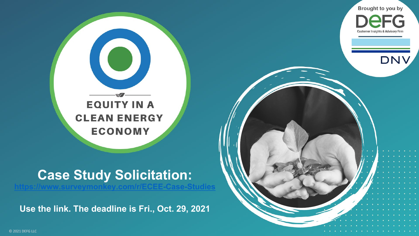

## **Case Study Solicitation:**

**<https://www.surveymonkey.com/r/ECEE-Case-Studies>**

**Use the link. The deadline is Fri., Oct. 29, 2021**



Brought to you by

**Customer Insights & Advisory Firm** 

**DNV** 

© 2021 DEFG LLC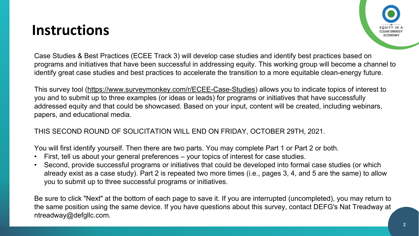## **Instructions**



Case Studies & Best Practices (ECEE Track 3) will develop case studies and identify best practices based on programs and initiatives that have been successful in addressing equity. This working group will become a channel to identify great case studies and best practices to accelerate the transition to a more equitable clean-energy future.

This survey tool [\(https://www.surveymonkey.com/r/ECEE-Case-Studies\)](https://www.surveymonkey.com/r/ECEE-Case-Studies) allows you to indicate topics of interest to you and to submit up to three examples (or ideas or leads) for programs or initiatives that have successfully addressed equity and that could be showcased. Based on your input, content will be created, including webinars, papers, and educational media.

## THIS SECOND ROUND OF SOLICITATION WILL END ON FRIDAY, OCTOBER 29TH, 2021.

You will first identify yourself. Then there are two parts. You may complete Part 1 or Part 2 or both.

- First, tell us about your general preferences your topics of interest for case studies.
- Second, provide successful programs or initiatives that could be developed into formal case studies (or which already exist as a case study). Part 2 is repeated two more times (i.e., pages 3, 4, and 5 are the same) to allow you to submit up to three successful programs or initiatives.

Be sure to click "Next" at the bottom of each page to save it. If you are interrupted (uncompleted), you may return to the same position using the same device. If you have questions about this survey, contact DEFG's Nat Treadway at ntreadway@defgllc.com.